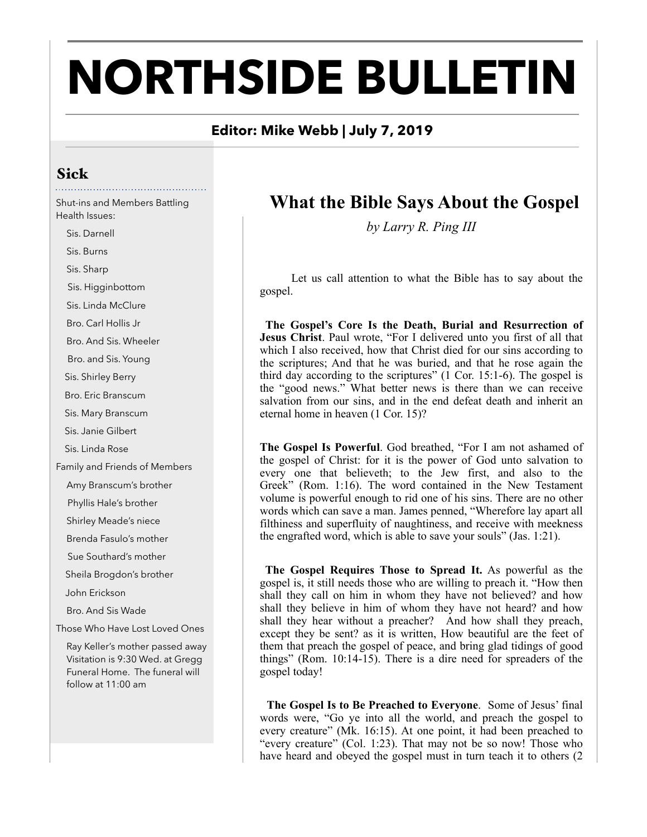# **NORTHSIDE BULLETIN**

#### **Editor: Mike Webb | July 7, 2019**

#### Sick

Shut-ins and Members Battling Health Issues:

 Sis. Darnell Sis. Burns Sis. Sharp Sis. Higginbottom Sis. Linda McClure Bro. Carl Hollis Jr Bro. And Sis. Wheeler Bro. and Sis. Young Sis. Shirley Berry Bro. Eric Branscum Sis. Mary Branscum Sis. Janie Gilbert Sis. Linda Rose Family and Friends of Members Amy Branscum's brother Phyllis Hale's brother Shirley Meade's niece Brenda Fasulo's mother Sue Southard's mother Sheila Brogdon's brother John Erickson Bro. And Sis Wade Those Who Have Lost Loved Ones Ray Keller's mother passed away Visitation is 9:30 Wed. at Gregg Funeral Home. The funeral will follow at 11:00 am

## **What the Bible Says About the Gospel**

*by Larry R. Ping III*

 Let us call attention to what the Bible has to say about the gospel.

**The Gospel's Core Is the Death, Burial and Resurrection of Jesus Christ**. Paul wrote, "For I delivered unto you first of all that which I also received, how that Christ died for our sins according to the scriptures; And that he was buried, and that he rose again the third day according to the scriptures" (1 Cor. 15:1-6). The gospel is the "good news." What better news is there than we can receive salvation from our sins, and in the end defeat death and inherit an eternal home in heaven (1 Cor. 15)?

**The Gospel Is Powerful**. God breathed, "For I am not ashamed of the gospel of Christ: for it is the power of God unto salvation to every one that believeth; to the Jew first, and also to the Greek" (Rom. 1:16). The word contained in the New Testament volume is powerful enough to rid one of his sins. There are no other words which can save a man. James penned, "Wherefore lay apart all filthiness and superfluity of naughtiness, and receive with meekness the engrafted word, which is able to save your souls" (Jas. 1:21).

 **The Gospel Requires Those to Spread It.** As powerful as the gospel is, it still needs those who are willing to preach it. "How then shall they call on him in whom they have not believed? and how shall they believe in him of whom they have not heard? and how shall they hear without a preacher? And how shall they preach, except they be sent? as it is written, How beautiful are the feet of them that preach the gospel of peace, and bring glad tidings of good things" (Rom. 10:14-15). There is a dire need for spreaders of the gospel today!

 **The Gospel Is to Be Preached to Everyone**. Some of Jesus' final words were, "Go ye into all the world, and preach the gospel to every creature" (Mk. 16:15). At one point, it had been preached to "every creature" (Col. 1:23). That may not be so now! Those who have heard and obeyed the gospel must in turn teach it to others (2